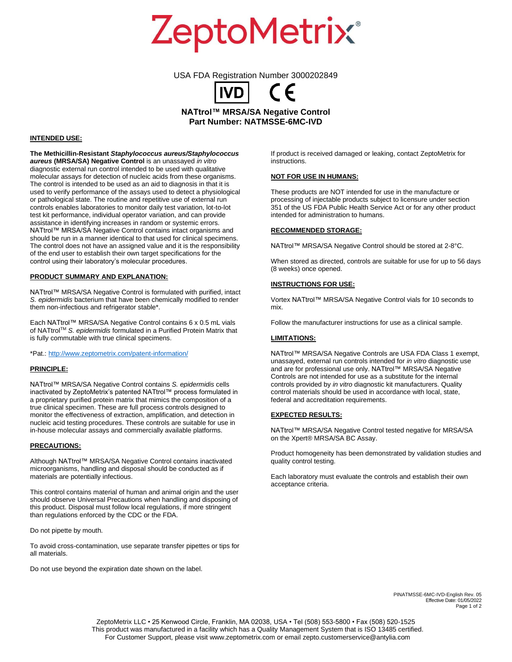**ZeptoMetrix®** 

USA FDA Registration Number 3000202849

**NATtrol™ MRSA/SA Negative Control Part Number: NATMSSE-6MC-IVD**

## **INTENDED USE:**

**The Methicillin-Resistant** *Staphylococcus aureus/Staphylococcus aureus* **(MRSA/SA) Negative Control** is an unassayed *in vitro* diagnostic external run control intended to be used with qualitative molecular assays for detection of nucleic acids from these organisms. The control is intended to be used as an aid to diagnosis in that it is used to verify performance of the assays used to detect a physiological or pathological state. The routine and repetitive use of external run controls enables laboratories to monitor daily test variation, lot-to-lot test kit performance, individual operator variation, and can provide assistance in identifying increases in random or systemic errors. NATtrol™ MRSA/SA Negative Control contains intact organisms and should be run in a manner identical to that used for clinical specimens. The control does not have an assigned value and it is the responsibility of the end user to establish their own target specifications for the control using their laboratory's molecular procedures.

# **PRODUCT SUMMARY AND EXPLANATION:**

NATtrol™ MRSA/SA Negative Control is formulated with purified, intact *S. epidermidis* bacterium that have been chemically modified to render them non-infectious and refrigerator stable\*.

Each NATtrol™ MRSA/SA Negative Control contains 6 x 0.5 mL vials of NATtrolTM *S. epidermidis* formulated in a Purified Protein Matrix that is fully commutable with true clinical specimens.

\*Pat.:<http://www.zeptometrix.com/patent-information/>

#### **PRINCIPLE:**

NATtrol™ MRSA/SA Negative Control contains *S. epidermidis* cells inactivated by ZeptoMetrix's patented NATtrol™ process formulated in a proprietary purified protein matrix that mimics the composition of a true clinical specimen. These are full process controls designed to monitor the effectiveness of extraction, amplification, and detection in nucleic acid testing procedures. These controls are suitable for use in in-house molecular assays and commercially available platforms.

### **PRECAUTIONS:**

Although NATtrol™ MRSA/SA Negative Control contains inactivated microorganisms, handling and disposal should be conducted as if materials are potentially infectious.

This control contains material of human and animal origin and the user should observe Universal Precautions when handling and disposing of this product. Disposal must follow local regulations, if more stringent than regulations enforced by the CDC or the FDA.

Do not pipette by mouth.

To avoid cross-contamination, use separate transfer pipettes or tips for all materials.

Do not use beyond the expiration date shown on the label.

If product is received damaged or leaking, contact ZeptoMetrix for instructions.

## **NOT FOR USE IN HUMANS:**

These products are NOT intended for use in the manufacture or processing of injectable products subject to licensure under section 351 of the US FDA Public Health Service Act or for any other product intended for administration to humans.

# **RECOMMENDED STORAGE:**

NATtrol™ MRSA/SA Negative Control should be stored at 2-8°C.

When stored as directed, controls are suitable for use for up to 56 days (8 weeks) once opened.

#### **INSTRUCTIONS FOR USE:**

Vortex NATtrol™ MRSA/SA Negative Control vials for 10 seconds to mix.

Follow the manufacturer instructions for use as a clinical sample.

#### **LIMITATIONS:**

NATtrol™ MRSA/SA Negative Controls are USA FDA Class 1 exempt, unassayed, external run controls intended for *in vitro* diagnostic use and are for professional use only. NATtrol™ MRSA/SA Negative Controls are not intended for use as a substitute for the internal controls provided by *in vitro* diagnostic kit manufacturers. Quality control materials should be used in accordance with local, state, federal and accreditation requirements.

#### **EXPECTED RESULTS:**

NATtrol™ MRSA/SA Negative Control tested negative for MRSA/SA on the Xpert® MRSA/SA BC Assay.

Product homogeneity has been demonstrated by validation studies and quality control testing.

Each laboratory must evaluate the controls and establish their own acceptance criteria.

> PINATMSSE-6MC-IVD-English Rev. 05 Effective Date: 01/05/2022 Page 1 of 2

ZeptoMetrix LLC • 25 Kenwood Circle, Franklin, MA 02038, USA • Tel (508) 553-5800 • Fax (508) 520-1525 This product was manufactured in a facility which has a Quality Management System that is ISO 13485 certified. For Customer Support, please visit www.zeptometrix.com or email zepto.customerservice@antylia.com